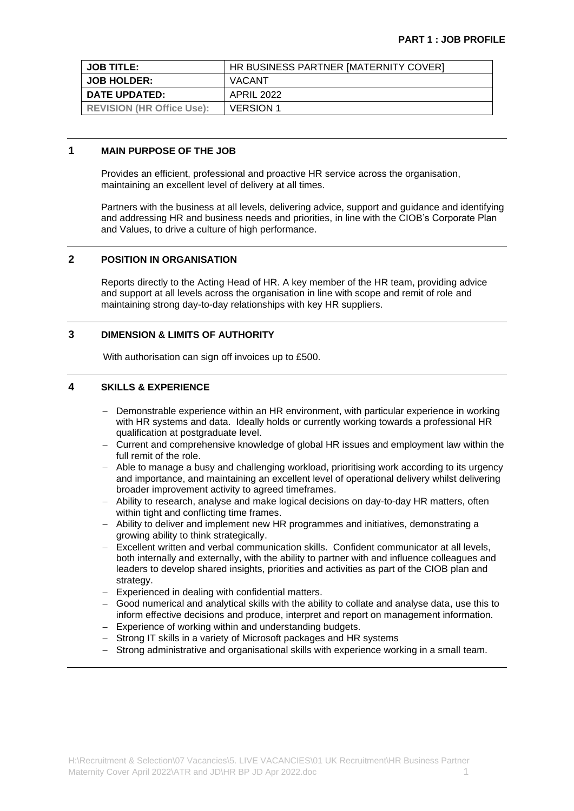| <b>JOB TITLE:</b>                | HR BUSINESS PARTNER [MATERNITY COVER] |  |
|----------------------------------|---------------------------------------|--|
| <b>JOB HOLDER:</b>               | VACANT                                |  |
| DATE UPDATED:                    | APRIL 2022                            |  |
| <b>REVISION (HR Office Use):</b> | <b>VERSION 1</b>                      |  |

# **1 MAIN PURPOSE OF THE JOB**

Provides an efficient, professional and proactive HR service across the organisation, maintaining an excellent level of delivery at all times.

Partners with the business at all levels, delivering advice, support and guidance and identifying and addressing HR and business needs and priorities, in line with the CIOB's Corporate Plan and Values, to drive a culture of high performance.

# **2 POSITION IN ORGANISATION**

Reports directly to the Acting Head of HR. A key member of the HR team, providing advice and support at all levels across the organisation in line with scope and remit of role and maintaining strong day-to-day relationships with key HR suppliers.

# **3 DIMENSION & LIMITS OF AUTHORITY**

With authorisation can sign off invoices up to £500.

# **4 SKILLS & EXPERIENCE**

- Demonstrable experience within an HR environment, with particular experience in working with HR systems and data. Ideally holds or currently working towards a professional HR qualification at postgraduate level.
- − Current and comprehensive knowledge of global HR issues and employment law within the full remit of the role.
- − Able to manage a busy and challenging workload, prioritising work according to its urgency and importance, and maintaining an excellent level of operational delivery whilst delivering broader improvement activity to agreed timeframes.
- − Ability to research, analyse and make logical decisions on day-to-day HR matters, often within tight and conflicting time frames.
- − Ability to deliver and implement new HR programmes and initiatives, demonstrating a growing ability to think strategically.
- Excellent written and verbal communication skills. Confident communicator at all levels. both internally and externally, with the ability to partner with and influence colleagues and leaders to develop shared insights, priorities and activities as part of the CIOB plan and strategy.
- − Experienced in dealing with confidential matters.
- − Good numerical and analytical skills with the ability to collate and analyse data, use this to inform effective decisions and produce, interpret and report on management information.
- Experience of working within and understanding budgets.
- − Strong IT skills in a variety of Microsoft packages and HR systems
- − Strong administrative and organisational skills with experience working in a small team.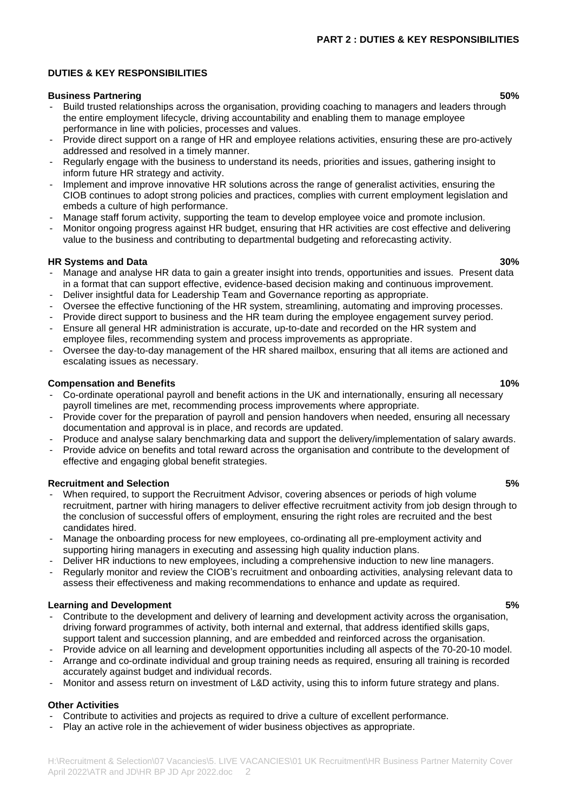## **DUTIES & KEY RESPONSIBILITIES**

#### **Business Partnering 50%**

- Build trusted relationships across the organisation, providing coaching to managers and leaders through the entire employment lifecycle, driving accountability and enabling them to manage employee performance in line with policies, processes and values.
- Provide direct support on a range of HR and employee relations activities, ensuring these are pro-actively addressed and resolved in a timely manner.
- Regularly engage with the business to understand its needs, priorities and issues, gathering insight to inform future HR strategy and activity.
- Implement and improve innovative HR solutions across the range of generalist activities, ensuring the CIOB continues to adopt strong policies and practices, complies with current employment legislation and embeds a culture of high performance.
- Manage staff forum activity, supporting the team to develop employee voice and promote inclusion.
- Monitor ongoing progress against HR budget, ensuring that HR activities are cost effective and delivering value to the business and contributing to departmental budgeting and reforecasting activity.

### **HR Systems and Data 30%**

- Manage and analyse HR data to gain a greater insight into trends, opportunities and issues. Present data in a format that can support effective, evidence-based decision making and continuous improvement.
- Deliver insightful data for Leadership Team and Governance reporting as appropriate.
- Oversee the effective functioning of the HR system, streamlining, automating and improving processes.
- Provide direct support to business and the HR team during the employee engagement survey period. - Ensure all general HR administration is accurate, up-to-date and recorded on the HR system and employee files, recommending system and process improvements as appropriate.
- Oversee the day-to-day management of the HR shared mailbox, ensuring that all items are actioned and escalating issues as necessary.

### **Compensation and Benefits 10%**

- Co-ordinate operational payroll and benefit actions in the UK and internationally, ensuring all necessary payroll timelines are met, recommending process improvements where appropriate.
- Provide cover for the preparation of payroll and pension handovers when needed, ensuring all necessary documentation and approval is in place, and records are updated.
- Produce and analyse salary benchmarking data and support the delivery/implementation of salary awards.
- Provide advice on benefits and total reward across the organisation and contribute to the development of effective and engaging global benefit strategies.

#### **Recruitment and Selection 5%**

- When required, to support the Recruitment Advisor, covering absences or periods of high volume recruitment, partner with hiring managers to deliver effective recruitment activity from job design through to the conclusion of successful offers of employment, ensuring the right roles are recruited and the best candidates hired.
- Manage the onboarding process for new employees, co-ordinating all pre-employment activity and supporting hiring managers in executing and assessing high quality induction plans.
- Deliver HR inductions to new employees, including a comprehensive induction to new line managers.
- Regularly monitor and review the CIOB's recruitment and onboarding activities, analysing relevant data to assess their effectiveness and making recommendations to enhance and update as required.

#### **Learning and Development 5%**

- Contribute to the development and delivery of learning and development activity across the organisation, driving forward programmes of activity, both internal and external, that address identified skills gaps, support talent and succession planning, and are embedded and reinforced across the organisation.
- Provide advice on all learning and development opportunities including all aspects of the 70-20-10 model.
- Arrange and co-ordinate individual and group training needs as required, ensuring all training is recorded accurately against budget and individual records.
- Monitor and assess return on investment of L&D activity, using this to inform future strategy and plans.

# **Other Activities**

- Contribute to activities and projects as required to drive a culture of excellent performance.
- Play an active role in the achievement of wider business objectives as appropriate.